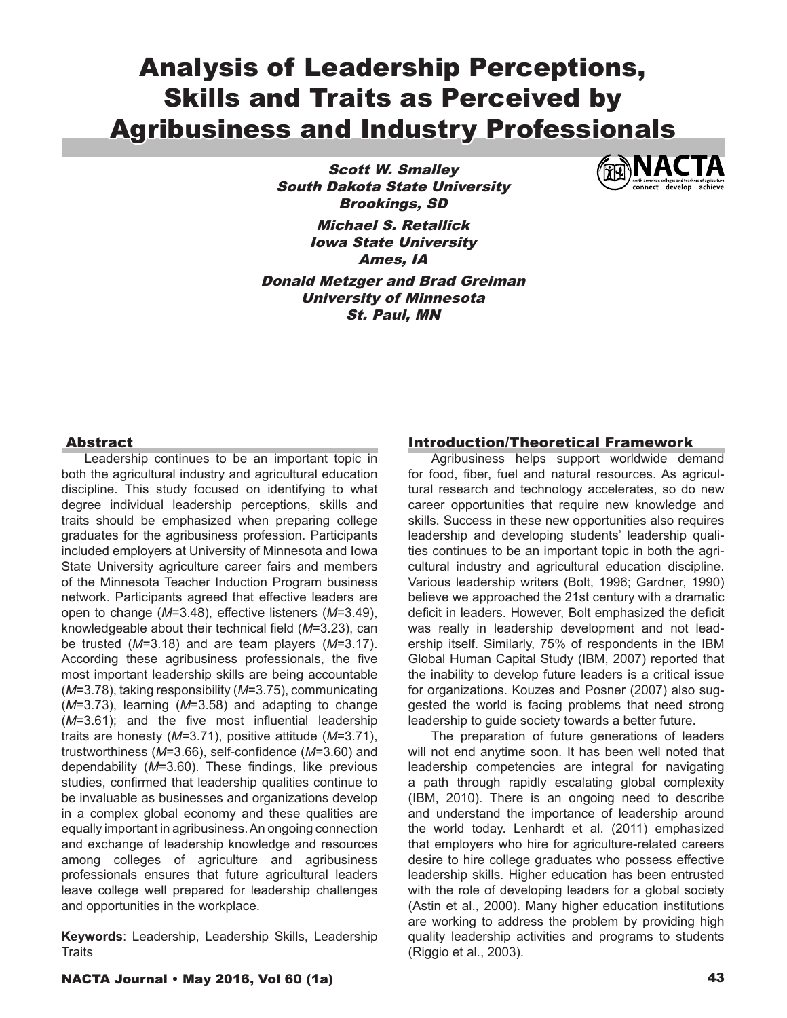# Analysis of Leadership Perceptions, Skills and Traits as Perceived by Agribusiness and Industry Professionals

Scott W. Smalley South Dakota State University Brookings, SD Michael S. Retallick Iowa State University Ames, IA Donald Metzger and Brad Greiman University of Minnesota St. Paul, MN



#### Abstract

Leadership continues to be an important topic in both the agricultural industry and agricultural education discipline. This study focused on identifying to what degree individual leadership perceptions, skills and traits should be emphasized when preparing college graduates for the agribusiness profession. Participants included employers at University of Minnesota and Iowa State University agriculture career fairs and members of the Minnesota Teacher Induction Program business network. Participants agreed that effective leaders are open to change (*M*=3.48), effective listeners (*M*=3.49), knowledgeable about their technical field (*M*=3.23), can be trusted (*M*=3.18) and are team players (*M*=3.17). According these agribusiness professionals, the five most important leadership skills are being accountable (*M*=3.78), taking responsibility (*M*=3.75), communicating (*M*=3.73), learning (*M*=3.58) and adapting to change (*M*=3.61); and the five most influential leadership traits are honesty (*M*=3.71), positive attitude (*M*=3.71), trustworthiness (*M*=3.66), self-confidence (*M*=3.60) and dependability (*M*=3.60). These findings, like previous studies, confirmed that leadership qualities continue to be invaluable as businesses and organizations develop in a complex global economy and these qualities are equally important in agribusiness. An ongoing connection and exchange of leadership knowledge and resources among colleges of agriculture and agribusiness professionals ensures that future agricultural leaders leave college well prepared for leadership challenges and opportunities in the workplace.

**Keywords**: Leadership, Leadership Skills, Leadership **Traits** 

#### Introduction/Theoretical Framework

Agribusiness helps support worldwide demand for food, fiber, fuel and natural resources. As agricultural research and technology accelerates, so do new career opportunities that require new knowledge and skills. Success in these new opportunities also requires leadership and developing students' leadership qualities continues to be an important topic in both the agricultural industry and agricultural education discipline. Various leadership writers (Bolt, 1996; Gardner, 1990) believe we approached the 21st century with a dramatic deficit in leaders. However, Bolt emphasized the deficit was really in leadership development and not leadership itself. Similarly, 75% of respondents in the IBM Global Human Capital Study (IBM, 2007) reported that the inability to develop future leaders is a critical issue for organizations. Kouzes and Posner (2007) also suggested the world is facing problems that need strong leadership to guide society towards a better future.

The preparation of future generations of leaders will not end anytime soon. It has been well noted that leadership competencies are integral for navigating a path through rapidly escalating global complexity (IBM, 2010). There is an ongoing need to describe and understand the importance of leadership around the world today. Lenhardt et al. (2011) emphasized that employers who hire for agriculture-related careers desire to hire college graduates who possess effective leadership skills. Higher education has been entrusted with the role of developing leaders for a global society (Astin et al., 2000). Many higher education institutions are working to address the problem by providing high quality leadership activities and programs to students (Riggio et al., 2003).

#### NACTA Journal • May 2016, Vol 60 (1a) 43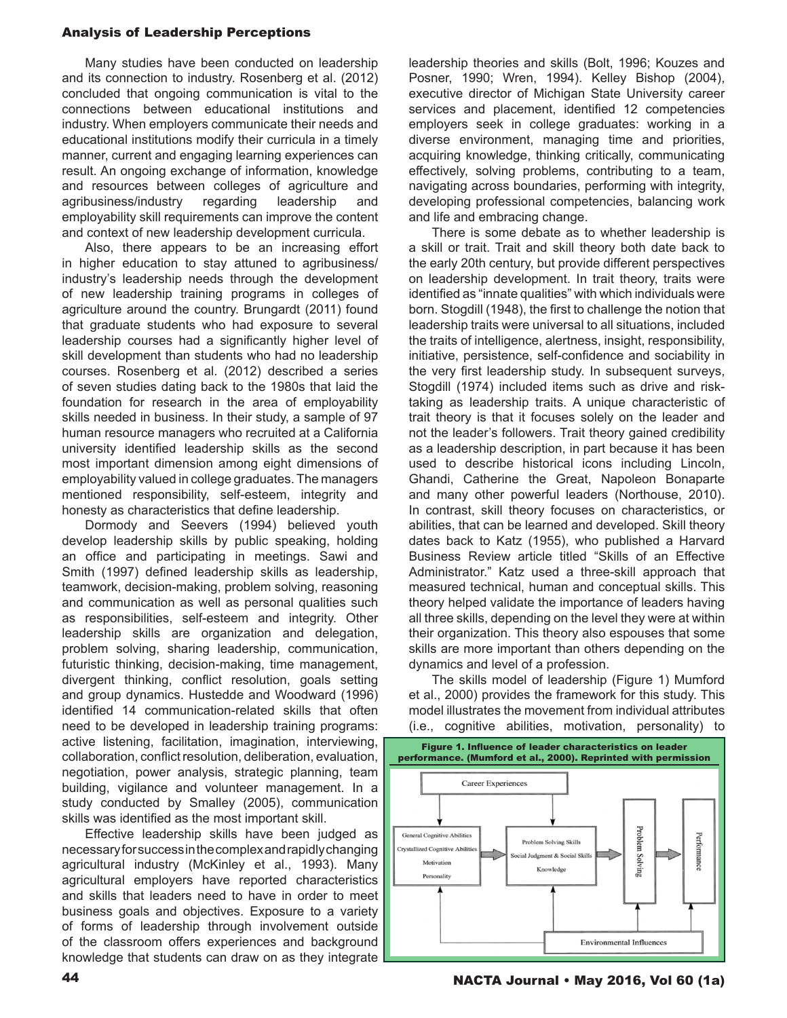Many studies have been conducted on leadership and its connection to industry. Rosenberg et al. (2012) concluded that ongoing communication is vital to the connections between educational institutions and industry. When employers communicate their needs and educational institutions modify their curricula in a timely manner, current and engaging learning experiences can result. An ongoing exchange of information, knowledge and resources between colleges of agriculture and agribusiness/industry regarding leadership and employability skill requirements can improve the content and context of new leadership development curricula.

Also, there appears to be an increasing effort in higher education to stay attuned to agribusiness/ industry's leadership needs through the development of new leadership training programs in colleges of agriculture around the country. Brungardt (2011) found that graduate students who had exposure to several leadership courses had a significantly higher level of skill development than students who had no leadership courses. Rosenberg et al. (2012) described a series of seven studies dating back to the 1980s that laid the foundation for research in the area of employability skills needed in business. In their study, a sample of 97 human resource managers who recruited at a California university identified leadership skills as the second most important dimension among eight dimensions of employability valued in college graduates. The managers mentioned responsibility, self-esteem, integrity and honesty as characteristics that define leadership.

Dormody and Seevers (1994) believed youth develop leadership skills by public speaking, holding an office and participating in meetings. Sawi and Smith (1997) defined leadership skills as leadership, teamwork, decision-making, problem solving, reasoning and communication as well as personal qualities such as responsibilities, self-esteem and integrity. Other leadership skills are organization and delegation, problem solving, sharing leadership, communication, futuristic thinking, decision-making, time management, divergent thinking, conflict resolution, goals setting and group dynamics. Hustedde and Woodward (1996) identified 14 communication-related skills that often need to be developed in leadership training programs: active listening, facilitation, imagination, interviewing, collaboration, conflict resolution, deliberation, evaluation, negotiation, power analysis, strategic planning, team building, vigilance and volunteer management. In a study conducted by Smalley (2005), communication skills was identified as the most important skill.

Effective leadership skills have been judged as necessary for success in the complex and rapidly changing agricultural industry (McKinley et al., 1993). Many agricultural employers have reported characteristics and skills that leaders need to have in order to meet business goals and objectives. Exposure to a variety of forms of leadership through involvement outside of the classroom offers experiences and background knowledge that students can draw on as they integrate

leadership theories and skills (Bolt, 1996; Kouzes and Posner, 1990; Wren, 1994). Kelley Bishop (2004), executive director of Michigan State University career services and placement, identified 12 competencies employers seek in college graduates: working in a diverse environment, managing time and priorities, acquiring knowledge, thinking critically, communicating effectively, solving problems, contributing to a team, navigating across boundaries, performing with integrity, developing professional competencies, balancing work and life and embracing change.

There is some debate as to whether leadership is a skill or trait. Trait and skill theory both date back to the early 20th century, but provide different perspectives on leadership development. In trait theory, traits were identified as "innate qualities" with which individuals were born. Stogdill (1948), the first to challenge the notion that leadership traits were universal to all situations, included the traits of intelligence, alertness, insight, responsibility, initiative, persistence, self-confidence and sociability in the very first leadership study. In subsequent surveys, Stogdill (1974) included items such as drive and risktaking as leadership traits. A unique characteristic of trait theory is that it focuses solely on the leader and not the leader's followers. Trait theory gained credibility as a leadership description, in part because it has been used to describe historical icons including Lincoln, Ghandi, Catherine the Great, Napoleon Bonaparte and many other powerful leaders (Northouse, 2010). In contrast, skill theory focuses on characteristics, or abilities, that can be learned and developed. Skill theory dates back to Katz (1955), who published a Harvard Business Review article titled "Skills of an Effective Administrator." Katz used a three-skill approach that measured technical, human and conceptual skills. This theory helped validate the importance of leaders having all three skills, depending on the level they were at within their organization. This theory also espouses that some skills are more important than others depending on the dynamics and level of a profession.

The skills model of leadership (Figure 1) Mumford et al., 2000) provides the framework for this study. This model illustrates the movement from individual attributes (i.e., cognitive abilities, motivation, personality) to



44 NACTA Journal • May 2016, Vol 60 (1a) *Figure 1*. Influence of leader characteristics on leader performance. (Mumford et al., 2000).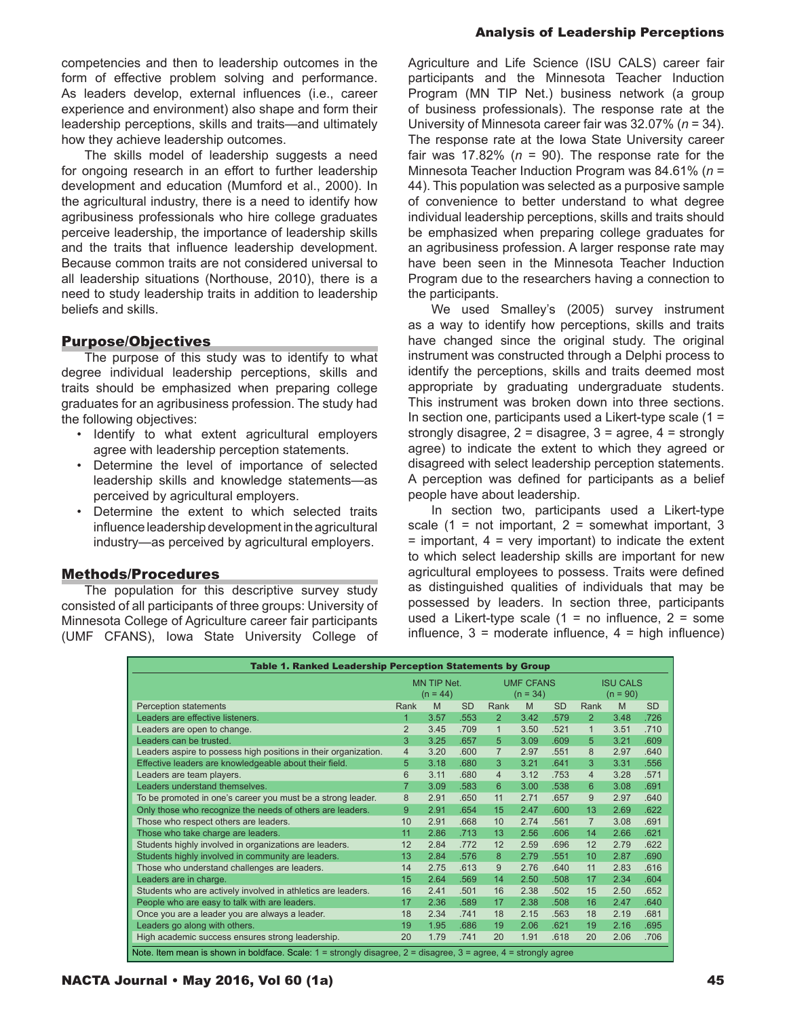competencies and then to leadership outcomes in the form of effective problem solving and performance. As leaders develop, external influences (i.e., career experience and environment) also shape and form their leadership perceptions, skills and traits—and ultimately how they achieve leadership outcomes.

The skills model of leadership suggests a need for ongoing research in an effort to further leadership development and education (Mumford et al., 2000). In the agricultural industry, there is a need to identify how agribusiness professionals who hire college graduates perceive leadership, the importance of leadership skills and the traits that influence leadership development. Because common traits are not considered universal to all leadership situations (Northouse, 2010), there is a need to study leadership traits in addition to leadership beliefs and skills.

### Purpose/Objectives

The purpose of this study was to identify to what degree individual leadership perceptions, skills and traits should be emphasized when preparing college graduates for an agribusiness profession. The study had the following objectives:

- Identify to what extent agricultural employers agree with leadership perception statements.
- Determine the level of importance of selected leadership skills and knowledge statements—as perceived by agricultural employers.
- Determine the extent to which selected traits influence leadership development in the agricultural industry—as perceived by agricultural employers.

#### Methods/Procedures

The population for this descriptive survey study consisted of all participants of three groups: University of Minnesota College of Agriculture career fair participants (UMF CFANS), Iowa State University College of

#### Analysis of Leadership Perceptions

Agriculture and Life Science (ISU CALS) career fair participants and the Minnesota Teacher Induction Program (MN TIP Net.) business network (a group of business professionals). The response rate at the University of Minnesota career fair was 32.07% (*n* = 34). The response rate at the Iowa State University career fair was 17.82% ( $n = 90$ ). The response rate for the Minnesota Teacher Induction Program was 84.61% (*n* = 44). This population was selected as a purposive sample of convenience to better understand to what degree individual leadership perceptions, skills and traits should be emphasized when preparing college graduates for an agribusiness profession. A larger response rate may have been seen in the Minnesota Teacher Induction Program due to the researchers having a connection to the participants.

We used Smalley's (2005) survey instrument as a way to identify how perceptions, skills and traits have changed since the original study. The original instrument was constructed through a Delphi process to identify the perceptions, skills and traits deemed most appropriate by graduating undergraduate students. This instrument was broken down into three sections. In section one, participants used a Likert-type scale  $(1 =$ strongly disagree,  $2 =$  disagree,  $3 =$  agree,  $4 =$  strongly agree) to indicate the extent to which they agreed or disagreed with select leadership perception statements. A perception was defined for participants as a belief people have about leadership.

In section two, participants used a Likert-type scale  $(1 = not important, 2 = somewhat important, 3$  $=$  important,  $4 =$  very important) to indicate the extent to which select leadership skills are important for new agricultural employees to possess. Traits were defined as distinguished qualities of individuals that may be possessed by leaders. In section three, participants used a Likert-type scale  $(1 = no$  influence,  $2 = some$ influence,  $3 =$  moderate influence,  $4 =$  high influence)

| Table 1. Ranked Leadership Perception Statements by Group                                                       |                           |      |           |                                |      |           |                               |      |           |
|-----------------------------------------------------------------------------------------------------------------|---------------------------|------|-----------|--------------------------------|------|-----------|-------------------------------|------|-----------|
|                                                                                                                 | MN TIP Net.<br>$(n = 44)$ |      |           | <b>UMF CFANS</b><br>$(n = 34)$ |      |           | <b>ISU CALS</b><br>$(n = 90)$ |      |           |
| <b>Perception statements</b>                                                                                    | Rank                      | M    | <b>SD</b> | Rank                           | M    | <b>SD</b> | Rank                          | M    | <b>SD</b> |
| Leaders are effective listeners.                                                                                | 1                         | 3.57 | .553      | $\overline{2}$                 | 3.42 | .579      | 2                             | 3.48 | .726      |
| Leaders are open to change.                                                                                     | $\overline{2}$            | 3.45 | .709      | $\mathbf{1}$                   | 3.50 | .521      | $\mathbf{1}$                  | 3.51 | .710      |
| Leaders can be trusted.                                                                                         | 3                         | 3.25 | .657      | 5                              | 3.09 | .609      | 5                             | 3.21 | .609      |
| Leaders aspire to possess high positions in their organization.                                                 | $\overline{4}$            | 3.20 | .600      | $\overline{7}$                 | 2.97 | .551      | 8                             | 2.97 | .640      |
| Effective leaders are knowledgeable about their field.                                                          | 5                         | 3.18 | .680      | 3                              | 3.21 | .641      | 3                             | 3.31 | .556      |
| Leaders are team players.                                                                                       | 6                         | 3.11 | .680      | $\overline{4}$                 | 3.12 | .753      | $\overline{4}$                | 3.28 | .571      |
| Leaders understand themselves.                                                                                  | $\overline{7}$            | 3.09 | .583      | 6                              | 3.00 | .538      | 6                             | 3.08 | .691      |
| To be promoted in one's career you must be a strong leader.                                                     |                           | 2.91 | .650      | 11                             | 2.71 | .657      | 9                             | 2.97 | .640      |
| Only those who recognize the needs of others are leaders.                                                       |                           | 2.91 | .654      | 15                             | 2.47 | .600      | 13                            | 2.69 | .622      |
| Those who respect others are leaders.                                                                           |                           | 2.91 | .668      | 10                             | 2.74 | .561      | $\overline{7}$                | 3.08 | .691      |
| Those who take charge are leaders.                                                                              | 11                        | 2.86 | .713      | 13                             | 2.56 | .606      | 14                            | 2.66 | .621      |
| Students highly involved in organizations are leaders.                                                          | 12                        | 2.84 | .772      | 12                             | 2.59 | .696      | 12                            | 2.79 | .622      |
| Students highly involved in community are leaders.                                                              | 13                        | 2.84 | .576      | 8                              | 2.79 | .551      | 10                            | 2.87 | .690      |
| Those who understand challenges are leaders.                                                                    | 14                        | 2.75 | .613      | 9                              | 2.76 | .640      | 11                            | 2.83 | .616      |
| Leaders are in charge.                                                                                          | 15                        | 2.64 | .569      | 14                             | 2.50 | .508      | 17                            | 2.34 | .604      |
| Students who are actively involved in athletics are leaders.                                                    | 16                        | 2.41 | .501      | 16                             | 2.38 | .502      | 15                            | 2.50 | .652      |
| People who are easy to talk with are leaders.                                                                   | 17                        | 2.36 | .589      | 17                             | 2.38 | .508      | 16                            | 2.47 | .640      |
| Once you are a leader you are always a leader.                                                                  | 18                        | 2.34 | .741      | 18                             | 2.15 | .563      | 18                            | 2.19 | .681      |
| Leaders go along with others.                                                                                   |                           | 1.95 | .686      | 19                             | 2.06 | .621      | 19                            | 2.16 | .695      |
| High academic success ensures strong leadership.<br>20<br>20<br>20<br>1.79<br>.741<br>1.91<br>.618<br>2.06      |                           |      |           |                                |      |           | .706                          |      |           |
| Note. Item mean is shown in boldface. Scale: 1 = strongly disagree, 2 = disagree, 3 = agree, 4 = strongly agree |                           |      |           |                                |      |           |                               |      |           |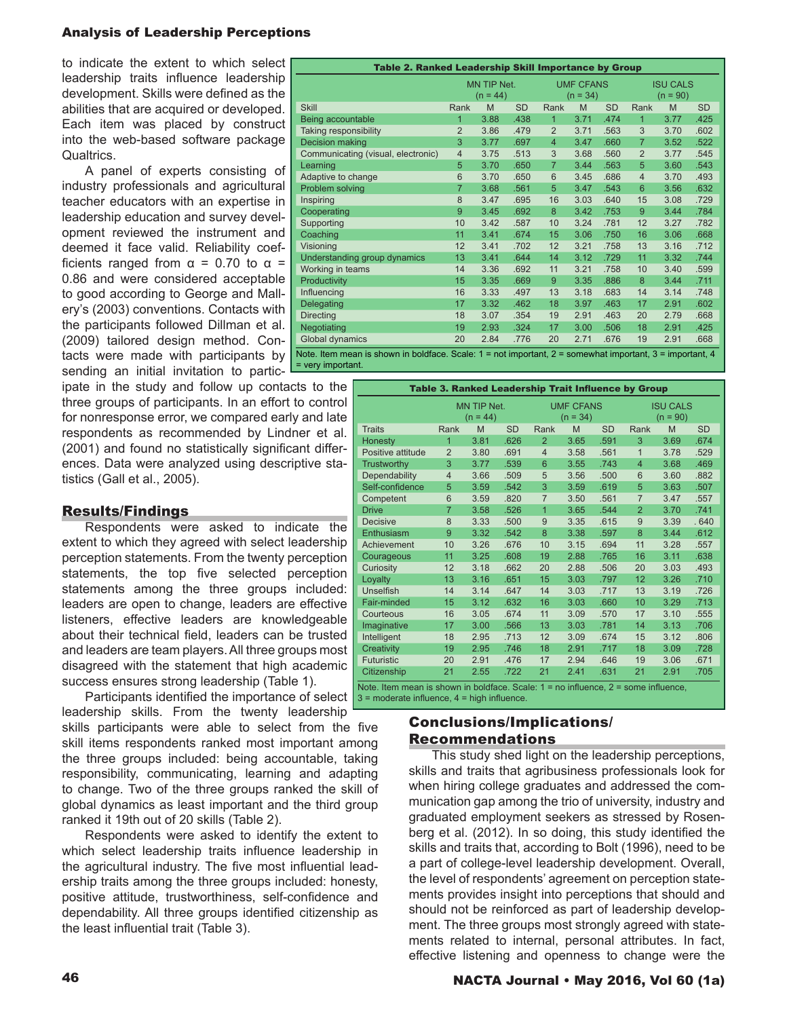to indicate the extent to which select leadership traits influence leadership development. Skills were defined as the abilities that are acquired or developed. Each item was placed by construct into the web-based software package Qualtrics.

A panel of experts consisting of industry professionals and agricultural teacher educators with an expertise in leadership education and survey development reviewed the instrument and deemed it face valid. Reliability coefficients ranged from  $\alpha$  = 0.70 to  $\alpha$  = 0.86 and were considered acceptable to good according to George and Mallery's (2003) conventions. Contacts with the participants followed Dillman et al. (2009) tailored design method. Contacts were made with participants by sending an initial invitation to partic-

ipate in the study and follow up contacts to the three groups of participants. In an effort to control for nonresponse error, we compared early and late respondents as recommended by Lindner et al. (2001) and found no statistically significant differences. Data were analyzed using descriptive statistics (Gall et al., 2005).

# Results/Findings

Respondents were asked to indicate the extent to which they agreed with select leadership perception statements. From the twenty perception statements, the top five selected perception statements among the three groups included: leaders are open to change, leaders are effective listeners, effective leaders are knowledgeable about their technical field, leaders can be trusted and leaders are team players. All three groups most disagreed with the statement that high academic success ensures strong leadership (Table 1).

Participants identified the importance of select  $\begin{bmatrix} 3 = \text{moderate}}{1 \text{ square}} & 4 = \text{high influence}}. \end{bmatrix}$ leadership skills. From the twenty leadership

skills participants were able to select from the five skill items respondents ranked most important among the three groups included: being accountable, taking responsibility, communicating, learning and adapting to change. Two of the three groups ranked the skill of global dynamics as least important and the third group ranked it 19th out of 20 skills (Table 2).

Respondents were asked to identify the extent to which select leadership traits influence leadership in the agricultural industry. The five most influential leadership traits among the three groups included: honesty, positive attitude, trustworthiness, self-confidence and dependability. All three groups identified citizenship as the least influential trait (Table 3).

| Table 2. Ranked Leadership Skill Importance by Group                                                             |                           |      |           |                                |      |           |                               |      |           |  |
|------------------------------------------------------------------------------------------------------------------|---------------------------|------|-----------|--------------------------------|------|-----------|-------------------------------|------|-----------|--|
|                                                                                                                  | MN TIP Net.<br>$(n = 44)$ |      |           | <b>UMF CFANS</b><br>$(n = 34)$ |      |           | <b>ISU CALS</b><br>$(n = 90)$ |      |           |  |
| <b>Skill</b>                                                                                                     | Rank                      | M    | <b>SD</b> | Rank                           | M    | <b>SD</b> | Rank                          | M    | <b>SD</b> |  |
| Being accountable                                                                                                | 1                         | 3.88 | .438      | $\mathbf{1}$                   | 3.71 | .474      | $\overline{1}$                | 3.77 | .425      |  |
| Taking responsibility                                                                                            | $\overline{2}$            | 3.86 | .479      | $\overline{2}$                 | 3.71 | .563      | 3                             | 3.70 | .602      |  |
| Decision making                                                                                                  | 3                         | 3.77 | .697      | $\overline{4}$                 | 3.47 | .660      | $\overline{7}$                | 3.52 | .522      |  |
| Communicating (visual, electronic)                                                                               | $\overline{4}$            | 3.75 | .513      | 3                              | 3.68 | .560      | $\overline{2}$                | 3.77 | .545      |  |
| Learning                                                                                                         | 5                         | 3.70 | .650      | $\overline{7}$                 | 3.44 | .563      | 5                             | 3.60 | .543      |  |
| Adaptive to change                                                                                               | 6                         | 3.70 | .650      | 6                              | 3.45 | .686      | $\overline{4}$                | 3.70 | .493      |  |
| Problem solving                                                                                                  | $\overline{7}$            | 3.68 | .561      | 5                              | 3.47 | .543      | $6\phantom{1}$                | 3.56 | .632      |  |
| Inspiring                                                                                                        | 8                         | 3.47 | .695      | 16                             | 3.03 | .640      | 15                            | 3.08 | .729      |  |
| Cooperating                                                                                                      | 9                         | 3.45 | .692      | 8                              | 3.42 | .753      | 9                             | 3.44 | .784      |  |
| Supporting                                                                                                       | 10                        | 3.42 | .587      | 10                             | 3.24 | .781      | 12                            | 3.27 | .782      |  |
| Coaching                                                                                                         | 11                        | 3.41 | .674      | 15                             | 3.06 | .750      | 16                            | 3.06 | .668      |  |
| Visioning                                                                                                        | 12                        | 3.41 | .702      | 12                             | 3.21 | .758      | 13                            | 3.16 | .712      |  |
| Understanding group dynamics                                                                                     | 13                        | 3.41 | .644      | 14                             | 3.12 | .729      | 11                            | 3.32 | .744      |  |
| Working in teams                                                                                                 | 14                        | 3.36 | .692      | 11                             | 3.21 | .758      | 10                            | 3.40 | .599      |  |
| Productivity                                                                                                     | 15                        | 3.35 | .669      | 9                              | 3.35 | .886      | 8                             | 3.44 | .711      |  |
| Influencing                                                                                                      | 16                        | 3.33 | .497      | 13                             | 3.18 | .683      | 14                            | 3.14 | .748      |  |
| Delegating                                                                                                       | 17                        | 3.32 | .462      | 18                             | 3.97 | .463      | 17                            | 2.91 | .602      |  |
| <b>Directing</b>                                                                                                 | 18                        | 3.07 | .354      | 19                             | 2.91 | .463      | 20                            | 2.79 | .668      |  |
| Negotiating                                                                                                      | 19                        | 2.93 | .324      | 17                             | 3.00 | .506      | 18                            | 2.91 | .425      |  |
| <b>Global dynamics</b>                                                                                           | 20                        | 2.84 | .776      | 20                             | 2.71 | .676      | 19                            | 2.91 | .668      |  |
| Note, Item mean is shown in boldface. Scale: $1 =$ not important, $2 =$ somewhat important, $3 =$ important, $4$ |                           |      |           |                                |      |           |                               |      |           |  |

Note. Item mean is shown in boldface. Scale: 1 = not important, 2 = somewhat important, 3 = important, 4 = very importan

| Table 3. Ranked Leadership Trait Influence by Group                                    |                           |      |           |                |                                |           |                               |      |           |  |
|----------------------------------------------------------------------------------------|---------------------------|------|-----------|----------------|--------------------------------|-----------|-------------------------------|------|-----------|--|
|                                                                                        | MN TIP Net.<br>$(n = 44)$ |      |           |                | <b>UMF CFANS</b><br>$(n = 34)$ |           | <b>ISU CALS</b><br>$(n = 90)$ |      |           |  |
| <b>Traits</b>                                                                          | Rank                      | M    | <b>SD</b> | Rank           | M                              | <b>SD</b> | Rank                          | M    | <b>SD</b> |  |
| <b>Honesty</b>                                                                         | $\overline{1}$            | 3.81 | .626      | $\overline{2}$ | 3.65                           | .591      | 3                             | 3.69 | .674      |  |
| Positive attitude                                                                      | $\overline{2}$            | 3.80 | .691      | $\overline{4}$ | 3.58                           | .561      | $\mathbf{1}$                  | 3.78 | .529      |  |
| Trustworthy                                                                            | 3                         | 3.77 | .539      | 6              | 3.55                           | .743      | $\overline{4}$                | 3.68 | .469      |  |
| Dependability                                                                          | $\overline{4}$            | 3.66 | .509      | 5              | 3.56                           | .500      | 6                             | 3.60 | .882      |  |
| Self-confidence                                                                        | 5                         | 3.59 | .542      | 3              | 3.59                           | .619      | 5                             | 3.63 | .507      |  |
| Competent                                                                              | 6                         | 3.59 | .820      | $\overline{7}$ | 3.50                           | .561      | $\overline{7}$                | 3.47 | .557      |  |
| <b>Drive</b>                                                                           | $\overline{7}$            | 3.58 | .526      | $\overline{1}$ | 3.65                           | .544      | $\overline{2}$                | 3.70 | .741      |  |
| <b>Decisive</b>                                                                        | 8                         | 3.33 | .500      | 9              | 3.35                           | .615      | 9                             | 3.39 | .640      |  |
| Enthusiasm                                                                             | 9                         | 3.32 | .542      | 8              | 3.38                           | .597      | 8                             | 3.44 | .612      |  |
| Achievement                                                                            | 10                        | 3.26 | .676      | 10             | 3.15                           | .694      | 11                            | 3.28 | .557      |  |
| Courageous                                                                             | 11                        | 3.25 | .608      | 19             | 2.88                           | .765      | 16                            | 3.11 | .638      |  |
| Curiosity                                                                              | 12                        | 3.18 | .662      | 20             | 2.88                           | .506      | 20                            | 3.03 | .493      |  |
| Lovalty                                                                                | 13                        | 3.16 | .651      | 15             | 3.03                           | .797      | 12                            | 3.26 | .710      |  |
| <b>Unselfish</b>                                                                       | 14                        | 3.14 | .647      | 14             | 3.03                           | .717      | 13                            | 3.19 | .726      |  |
| Fair-minded                                                                            | 15                        | 3.12 | .632      | 16             | 3.03                           | .660      | 10                            | 3.29 | .713      |  |
| Courteous                                                                              | 16                        | 3.05 | .674      | 11             | 3.09                           | .570      | 17                            | 3.10 | .555      |  |
| Imaginative                                                                            | 17                        | 3.00 | .566      | 13             | 3.03                           | .781      | 14                            | 3.13 | .706      |  |
| Intelligent                                                                            | 18                        | 2.95 | .713      | 12             | 3.09                           | .674      | 15                            | 3.12 | .806      |  |
| Creativity                                                                             | 19                        | 2.95 | .746      | 18             | 2.91                           | .717      | 18                            | 3.09 | .728      |  |
| Futuristic                                                                             | 20                        | 2.91 | .476      | 17             | 2.94                           | .646      | 19                            | 3.06 | .671      |  |
| Citizenship                                                                            | 21                        | 2.55 | .722      | 21             | 2.41                           | .631      | 21                            | 2.91 | .705      |  |
| Note. Item mean is shown in boldface. Scale: $1 =$ no influence, $2 =$ some influence, |                           |      |           |                |                                |           |                               |      |           |  |

3 = moderate influence, 4 = high influence.

# Conclusions/Implications/ Recommendations

This study shed light on the leadership perceptions, skills and traits that agribusiness professionals look for when hiring college graduates and addressed the communication gap among the trio of university, industry and graduated employment seekers as stressed by Rosenberg et al. (2012). In so doing, this study identified the skills and traits that, according to Bolt (1996), need to be a part of college-level leadership development. Overall, the level of respondents' agreement on perception statements provides insight into perceptions that should and should not be reinforced as part of leadership development. The three groups most strongly agreed with statements related to internal, personal attributes. In fact, effective listening and openness to change were the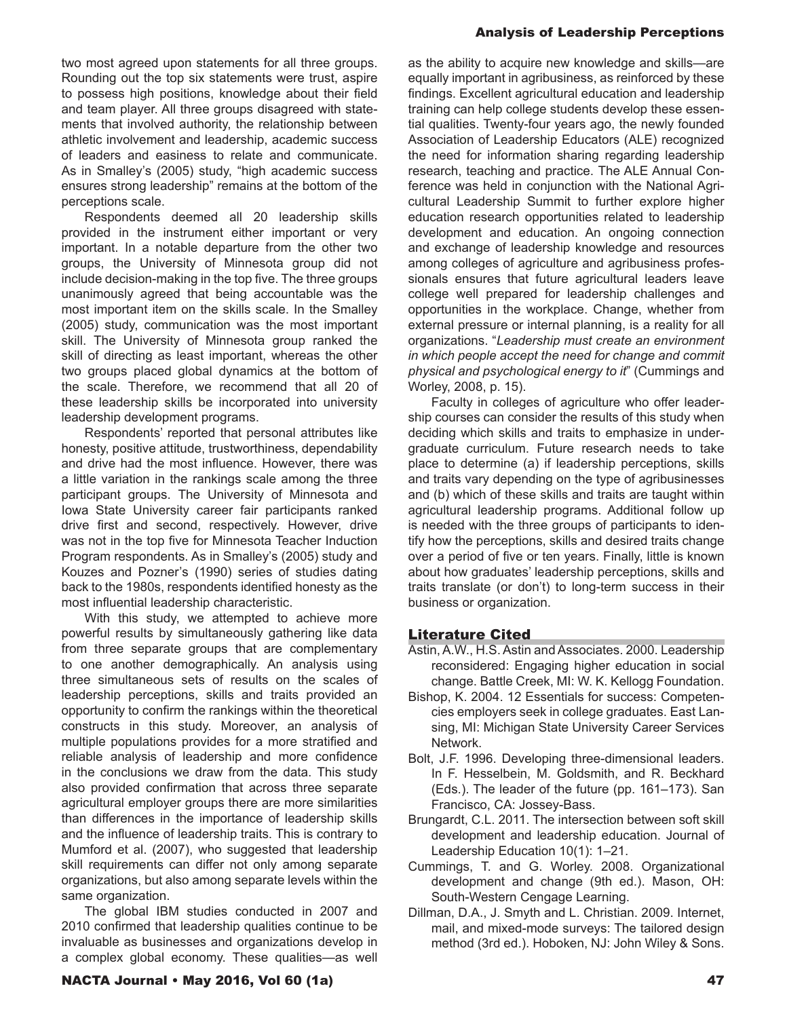two most agreed upon statements for all three groups. Rounding out the top six statements were trust, aspire to possess high positions, knowledge about their field and team player. All three groups disagreed with statements that involved authority, the relationship between athletic involvement and leadership, academic success of leaders and easiness to relate and communicate. As in Smalley's (2005) study, "high academic success ensures strong leadership" remains at the bottom of the perceptions scale.

Respondents deemed all 20 leadership skills provided in the instrument either important or very important. In a notable departure from the other two groups, the University of Minnesota group did not include decision-making in the top five. The three groups unanimously agreed that being accountable was the most important item on the skills scale. In the Smalley (2005) study, communication was the most important skill. The University of Minnesota group ranked the skill of directing as least important, whereas the other two groups placed global dynamics at the bottom of the scale. Therefore, we recommend that all 20 of these leadership skills be incorporated into university leadership development programs.

Respondents' reported that personal attributes like honesty, positive attitude, trustworthiness, dependability and drive had the most influence. However, there was a little variation in the rankings scale among the three participant groups. The University of Minnesota and Iowa State University career fair participants ranked drive first and second, respectively. However, drive was not in the top five for Minnesota Teacher Induction Program respondents. As in Smalley's (2005) study and Kouzes and Pozner's (1990) series of studies dating back to the 1980s, respondents identified honesty as the most influential leadership characteristic.

With this study, we attempted to achieve more powerful results by simultaneously gathering like data from three separate groups that are complementary to one another demographically. An analysis using three simultaneous sets of results on the scales of leadership perceptions, skills and traits provided an opportunity to confirm the rankings within the theoretical constructs in this study. Moreover, an analysis of multiple populations provides for a more stratified and reliable analysis of leadership and more confidence in the conclusions we draw from the data. This study also provided confirmation that across three separate agricultural employer groups there are more similarities than differences in the importance of leadership skills and the influence of leadership traits. This is contrary to Mumford et al. (2007), who suggested that leadership skill requirements can differ not only among separate organizations, but also among separate levels within the same organization.

The global IBM studies conducted in 2007 and 2010 confirmed that leadership qualities continue to be invaluable as businesses and organizations develop in a complex global economy. These qualities—as well

as the ability to acquire new knowledge and skills—are equally important in agribusiness, as reinforced by these findings. Excellent agricultural education and leadership training can help college students develop these essential qualities. Twenty-four years ago, the newly founded Association of Leadership Educators (ALE) recognized the need for information sharing regarding leadership research, teaching and practice. The ALE Annual Conference was held in conjunction with the National Agricultural Leadership Summit to further explore higher education research opportunities related to leadership development and education. An ongoing connection and exchange of leadership knowledge and resources among colleges of agriculture and agribusiness professionals ensures that future agricultural leaders leave college well prepared for leadership challenges and opportunities in the workplace. Change, whether from external pressure or internal planning, is a reality for all organizations. "*Leadership must create an environment in which people accept the need for change and commit physical and psychological energy to it*" (Cummings and Worley, 2008, p. 15).

Faculty in colleges of agriculture who offer leadership courses can consider the results of this study when deciding which skills and traits to emphasize in undergraduate curriculum. Future research needs to take place to determine (a) if leadership perceptions, skills and traits vary depending on the type of agribusinesses and (b) which of these skills and traits are taught within agricultural leadership programs. Additional follow up is needed with the three groups of participants to identify how the perceptions, skills and desired traits change over a period of five or ten years. Finally, little is known about how graduates' leadership perceptions, skills and traits translate (or don't) to long-term success in their business or organization.

#### Literature Cited

- Astin, A.W., H.S. Astin and Associates. 2000. Leadership reconsidered: Engaging higher education in social change. Battle Creek, MI: W. K. Kellogg Foundation.
- Bishop, K. 2004. 12 Essentials for success: Competencies employers seek in college graduates. East Lansing, MI: Michigan State University Career Services Network.
- Bolt, J.F. 1996. Developing three-dimensional leaders. In F. Hesselbein, M. Goldsmith, and R. Beckhard (Eds.). The leader of the future (pp. 161–173). San Francisco, CA: Jossey-Bass.
- Brungardt, C.L. 2011. The intersection between soft skill development and leadership education. Journal of Leadership Education 10(1): 1–21.
- Cummings, T. and G. Worley. 2008. Organizational development and change (9th ed.). Mason, OH: South-Western Cengage Learning.
- Dillman, D.A., J. Smyth and L. Christian. 2009. Internet, mail, and mixed-mode surveys: The tailored design method (3rd ed.). Hoboken, NJ: John Wiley & Sons.